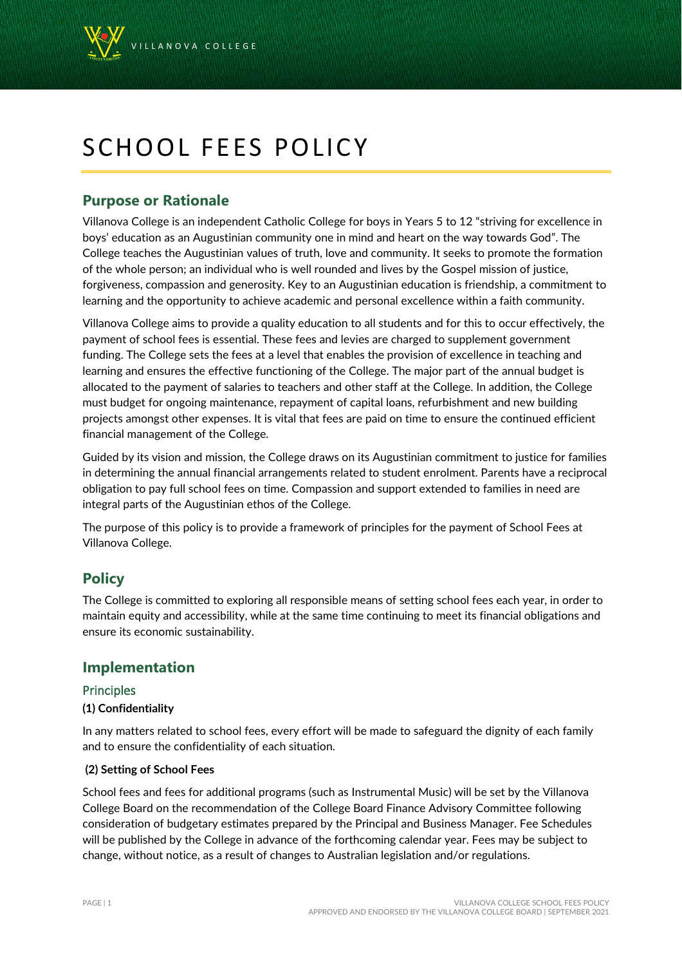

# SCHOOL FEES POLICY

# **Purpose or Rationale**

Villanova College is an independent Catholic College for boys in Years 5 to 12 "striving for excellence in boys' education as an Augustinian community one in mind and heart on the way towards God". The College teaches the Augustinian values of truth, love and community. It seeks to promote the formation of the whole person; an individual who is well rounded and lives by the Gospel mission of justice, forgiveness, compassion and generosity. Key to an Augustinian education is friendship, a commitment to learning and the opportunity to achieve academic and personal excellence within a faith community.

Villanova College aims to provide a quality education to all students and for this to occur effectively, the payment of school fees is essential. These fees and levies are charged to supplement government funding. The College sets the fees at a level that enables the provision of excellence in teaching and learning and ensures the effective functioning of the College. The major part of the annual budget is allocated to the payment of salaries to teachers and other staff at the College. In addition, the College must budget for ongoing maintenance, repayment of capital loans, refurbishment and new building projects amongst other expenses. It is vital that fees are paid on time to ensure the continued efficient financial management of the College.

Guided by its vision and mission, the College draws on its Augustinian commitment to justice for families in determining the annual financial arrangements related to student enrolment. Parents have a reciprocal obligation to pay full school fees on time. Compassion and support extended to families in need are integral parts of the Augustinian ethos of the College.

The purpose of this policy is to provide a framework of principles for the payment of School Fees at Villanova College.

# **Policy**

The College is committed to exploring all responsible means of setting school fees each year, in order to maintain equity and accessibility, while at the same time continuing to meet its financial obligations and ensure its economic sustainability.

# **Implementation**

# Principles

# **(1) Confidentiality**

In any matters related to school fees, every effort will be made to safeguard the dignity of each family and to ensure the confidentiality of each situation.

# **(2) Setting of School Fees**

School fees and fees for additional programs (such as Instrumental Music) will be set by the Villanova College Board on the recommendation of the College Board Finance Advisory Committee following consideration of budgetary estimates prepared by the Principal and Business Manager. Fee Schedules will be published by the College in advance of the forthcoming calendar year. Fees may be subject to change, without notice, as a result of changes to Australian legislation and/or regulations.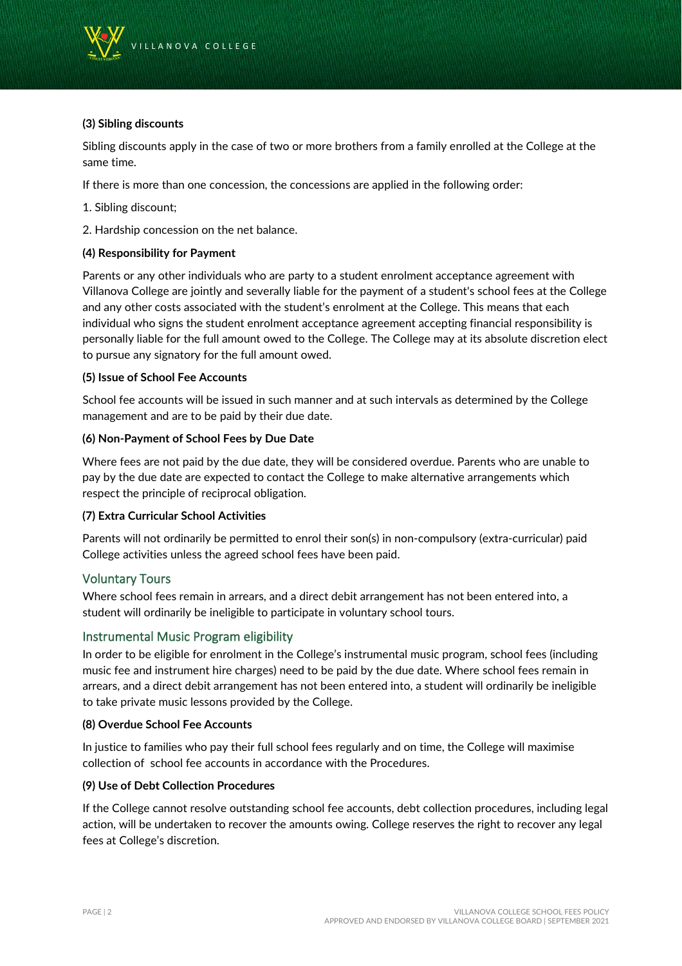

# **(3) Sibling discounts**

Sibling discounts apply in the case of two or more brothers from a family enrolled at the College at the same time.

If there is more than one concession, the concessions are applied in the following order:

- 1. Sibling discount;
- 2. Hardship concession on the net balance.

#### **(4) Responsibility for Payment**

Parents or any other individuals who are party to a student enrolment acceptance agreement with Villanova College are jointly and severally liable for the payment of a student's school fees at the College and any other costs associated with the student's enrolment at the College. This means that each individual who signs the student enrolment acceptance agreement accepting financial responsibility is personally liable for the full amount owed to the College. The College may at its absolute discretion elect to pursue any signatory for the full amount owed.

### **(5) Issue of School Fee Accounts**

School fee accounts will be issued in such manner and at such intervals as determined by the College management and are to be paid by their due date.

#### **(6) Non-Payment of School Fees by Due Date**

Where fees are not paid by the due date, they will be considered overdue. Parents who are unable to pay by the due date are expected to contact the College to make alternative arrangements which respect the principle of reciprocal obligation.

# **(7) Extra Curricular School Activities**

Parents will not ordinarily be permitted to enrol their son(s) in non-compulsory (extra-curricular) paid College activities unless the agreed school fees have been paid.

# Voluntary Tours

Where school fees remain in arrears, and a direct debit arrangement has not been entered into, a student will ordinarily be ineligible to participate in voluntary school tours.

# Instrumental Music Program eligibility

In order to be eligible for enrolment in the College's instrumental music program, school fees (including music fee and instrument hire charges) need to be paid by the due date. Where school fees remain in arrears, and a direct debit arrangement has not been entered into, a student will ordinarily be ineligible to take private music lessons provided by the College.

#### **(8) Overdue School Fee Accounts**

In justice to families who pay their full school fees regularly and on time, the College will maximise collection of school fee accounts in accordance with the Procedures.

#### **(9) Use of Debt Collection Procedures**

If the College cannot resolve outstanding school fee accounts, debt collection procedures, including legal action, will be undertaken to recover the amounts owing. College reserves the right to recover any legal fees at College's discretion.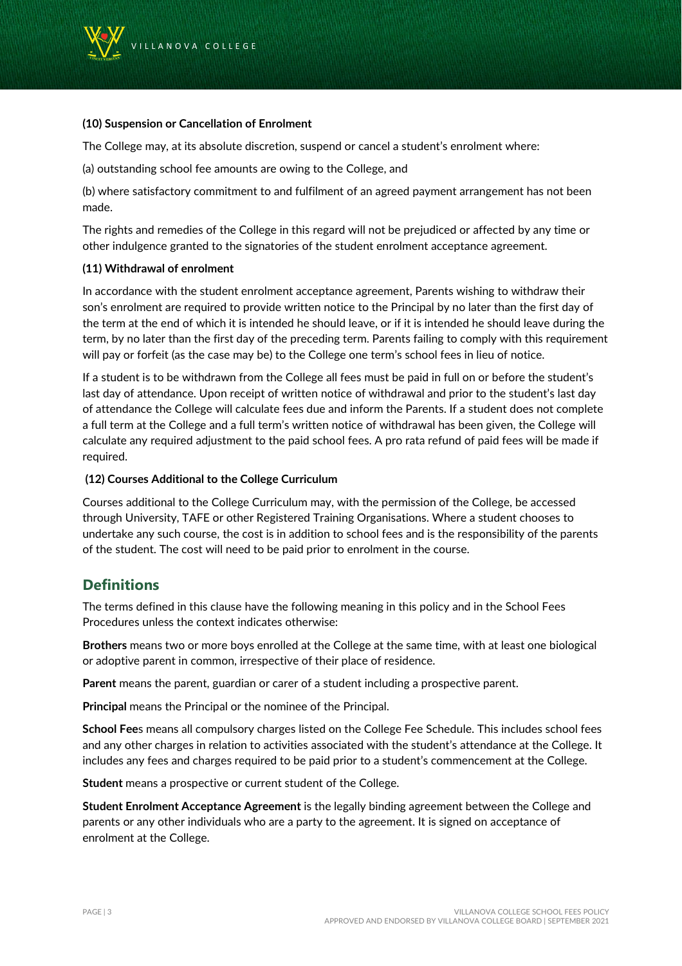

#### **(10) Suspension or Cancellation of Enrolment**

The College may, at its absolute discretion, suspend or cancel a student's enrolment where:

(a) outstanding school fee amounts are owing to the College, and

(b) where satisfactory commitment to and fulfilment of an agreed payment arrangement has not been made.

The rights and remedies of the College in this regard will not be prejudiced or affected by any time or other indulgence granted to the signatories of the student enrolment acceptance agreement.

### **(11) Withdrawal of enrolment**

In accordance with the student enrolment acceptance agreement, Parents wishing to withdraw their son's enrolment are required to provide written notice to the Principal by no later than the first day of the term at the end of which it is intended he should leave, or if it is intended he should leave during the term, by no later than the first day of the preceding term. Parents failing to comply with this requirement will pay or forfeit (as the case may be) to the College one term's school fees in lieu of notice.

If a student is to be withdrawn from the College all fees must be paid in full on or before the student's last day of attendance. Upon receipt of written notice of withdrawal and prior to the student's last day of attendance the College will calculate fees due and inform the Parents. If a student does not complete a full term at the College and a full term's written notice of withdrawal has been given, the College will calculate any required adjustment to the paid school fees. A pro rata refund of paid fees will be made if required.

#### **(12) Courses Additional to the College Curriculum**

Courses additional to the College Curriculum may, with the permission of the College, be accessed through University, TAFE or other Registered Training Organisations. Where a student chooses to undertake any such course, the cost is in addition to school fees and is the responsibility of the parents of the student. The cost will need to be paid prior to enrolment in the course.

# **Definitions**

The terms defined in this clause have the following meaning in this policy and in the School Fees Procedures unless the context indicates otherwise:

**Brothers** means two or more boys enrolled at the College at the same time, with at least one biological or adoptive parent in common, irrespective of their place of residence.

**Parent** means the parent, guardian or carer of a student including a prospective parent.

**Principal** means the Principal or the nominee of the Principal.

**School Fee**s means all compulsory charges listed on the College Fee Schedule. This includes school fees and any other charges in relation to activities associated with the student's attendance at the College. It includes any fees and charges required to be paid prior to a student's commencement at the College.

**Student** means a prospective or current student of the College.

**Student Enrolment Acceptance Agreement** is the legally binding agreement between the College and parents or any other individuals who are a party to the agreement. It is signed on acceptance of enrolment at the College.